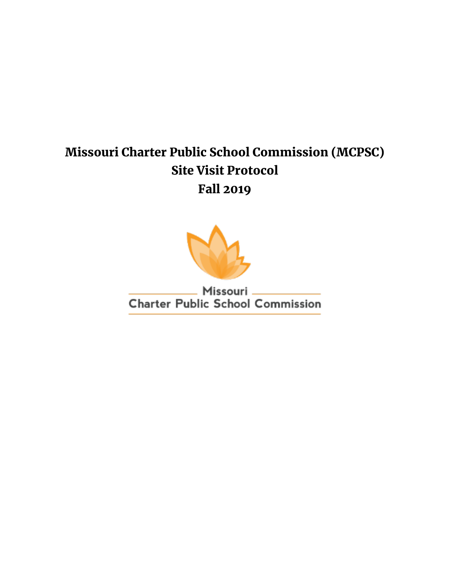# Missouri Charter Public School Commission (MCPSC) Site Visit Protocol Fall 2019



Missouri **Charter Public School Commission**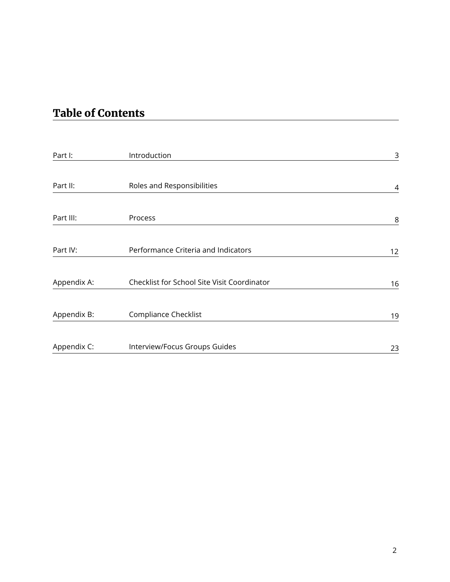## Table of Contents

| Part I:     | Introduction                                | 3  |
|-------------|---------------------------------------------|----|
| Part II:    | Roles and Responsibilities                  | 4  |
| Part III:   | Process                                     | 8  |
| Part IV:    | Performance Criteria and Indicators         | 12 |
| Appendix A: | Checklist for School Site Visit Coordinator | 16 |
| Appendix B: | <b>Compliance Checklist</b>                 | 19 |
| Appendix C: | Interview/Focus Groups Guides               | 23 |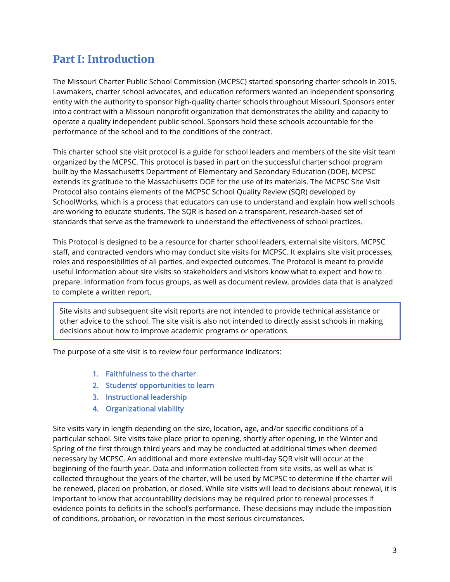## Part I: Introduction

The Missouri Charter Public School Commission (MCPSC) started sponsoring charter schools in 2015. Lawmakers, charter school advocates, and education reformers wanted an independent sponsoring entity with the authority to sponsor high-quality charter schools throughout Missouri. Sponsors enter into a contract with a Missouri nonprofit organization that demonstrates the ability and capacity to operate a quality independent public school. Sponsors hold these schools accountable for the performance of the school and to the conditions of the contract.

This charter school site visit protocol is a guide for school leaders and members of the site visit team organized by the MCPSC. This protocol is based in part on the successful charter school program built by the Massachusetts Department of Elementary and Secondary Education (DOE). MCPSC extends its gratitude to the Massachusetts DOE for the use of its materials. The MCPSC Site Visit Protocol also contains elements of the MCPSC School Quality Review (SQR) developed by SchoolWorks, which is a process that educators can use to understand and explain how well schools are working to educate students. The SQR is based on a transparent, research-based set of standards that serve as the framework to understand the effectiveness of school practices.

This Protocol is designed to be a resource for charter school leaders, external site visitors, MCPSC staff, and contracted vendors who may conduct site visits for MCPSC. It explains site visit processes, roles and responsibilities of all parties, and expected outcomes. The Protocol is meant to provide useful information about site visits so stakeholders and visitors know what to expect and how to prepare. Information from focus groups, as well as document review, provides data that is analyzed to complete a written report.

Site visits and subsequent site visit reports are not intended to provide technical assistance or other advice to the school. The site visit is also not intended to directly assist schools in making decisions about how to improve academic programs or operations.

The purpose of a site visit is to review four performance indicators:

- 1. Faithfulness to the charter
- 2. Students' opportunities to learn
- 3. Instructional leadership
- 4. Organizational viability

Site visits vary in length depending on the size, location, age, and/or specific conditions of a particular school. Site visits take place prior to opening, shortly after opening, in the Winter and Spring of the first through third years and may be conducted at additional times when deemed necessary by MCPSC. An additional and more extensive multi-day SQR visit will occur at the beginning of the fourth year. Data and information collected from site visits, as well as what is collected throughout the years of the charter, will be used by MCPSC to determine if the charter will be renewed, placed on probation, or closed. While site visits will lead to decisions about renewal, it is important to know that accountability decisions may be required prior to renewal processes if evidence points to deficits in the school's performance. These decisions may include the imposition of conditions, probation, or revocation in the most serious circumstances.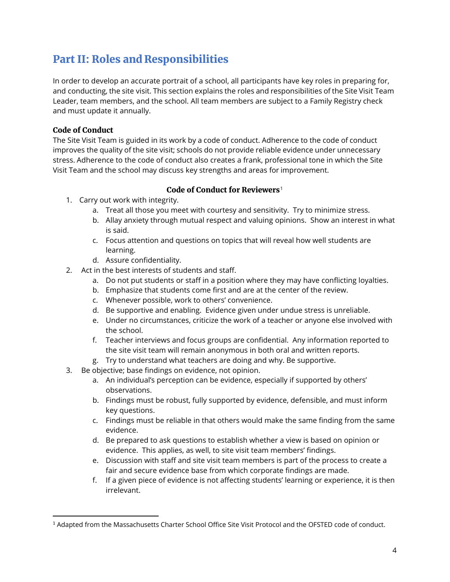## Part II: Roles and Responsibilities

In order to develop an accurate portrait of a school, all participants have key roles in preparing for, and conducting, the site visit. This section explains the roles and responsibilities of the Site Visit Team Leader, team members, and the school. All team members are subject to a Family Registry check and must update it annually.

#### Code of Conduct

The Site Visit Team is guided in its work by a code of conduct. Adherence to the code of conduct improves the quality of the site visit; schools do not provide reliable evidence under unnecessary stress. Adherence to the code of conduct also creates a frank, professional tone in which the Site Visit Team and the school may discuss key strengths and areas for improvement.

#### Code of Conduct for Reviewers<sup>[1](#page-3-0)</sup>

- 1. Carry out work with integrity.
	- a. Treat all those you meet with courtesy and sensitivity. Try to minimize stress.
	- b. Allay anxiety through mutual respect and valuing opinions. Show an interest in what is said.
	- c. Focus attention and questions on topics that will reveal how well students are learning.
	- d. Assure confidentiality.
- 2. Act in the best interests of students and staff.
	- a. Do not put students or staff in a position where they may have conflicting loyalties.
	- b. Emphasize that students come first and are at the center of the review.
	- c. Whenever possible, work to others' convenience.
	- d. Be supportive and enabling. Evidence given under undue stress is unreliable.
	- e. Under no circumstances, criticize the work of a teacher or anyone else involved with the school.
	- f. Teacher interviews and focus groups are confidential. Any information reported to the site visit team will remain anonymous in both oral and written reports.
	- g. Try to understand what teachers are doing and why. Be supportive.
- 3. Be objective; base findings on evidence, not opinion.
	- a. An individual's perception can be evidence, especially if supported by others' observations.
	- b. Findings must be robust, fully supported by evidence, defensible, and must inform key questions.
	- c. Findings must be reliable in that others would make the same finding from the same evidence.
	- d. Be prepared to ask questions to establish whether a view is based on opinion or evidence. This applies, as well, to site visit team members' findings.
	- e. Discussion with staff and site visit team members is part of the process to create a fair and secure evidence base from which corporate findings are made.
	- f. If a given piece of evidence is not affecting students' learning or experience, it is then irrelevant.

<span id="page-3-0"></span><sup>1</sup> Adapted from the Massachusetts Charter School Office Site Visit Protocol and the OFSTED code of conduct.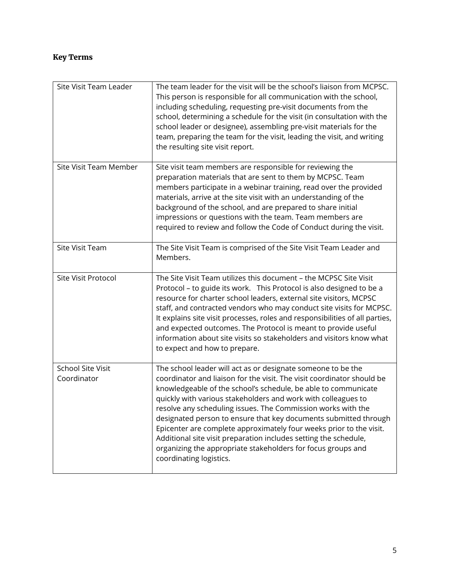### Key Terms

| Site Visit Team Leader           | The team leader for the visit will be the school's liaison from MCPSC.<br>This person is responsible for all communication with the school,<br>including scheduling, requesting pre-visit documents from the<br>school, determining a schedule for the visit (in consultation with the<br>school leader or designee), assembling pre-visit materials for the<br>team, preparing the team for the visit, leading the visit, and writing<br>the resulting site visit report.                                                                                                                                                                          |
|----------------------------------|-----------------------------------------------------------------------------------------------------------------------------------------------------------------------------------------------------------------------------------------------------------------------------------------------------------------------------------------------------------------------------------------------------------------------------------------------------------------------------------------------------------------------------------------------------------------------------------------------------------------------------------------------------|
| Site Visit Team Member           | Site visit team members are responsible for reviewing the<br>preparation materials that are sent to them by MCPSC. Team<br>members participate in a webinar training, read over the provided<br>materials, arrive at the site visit with an understanding of the<br>background of the school, and are prepared to share initial<br>impressions or questions with the team. Team members are<br>required to review and follow the Code of Conduct during the visit.                                                                                                                                                                                  |
| Site Visit Team                  | The Site Visit Team is comprised of the Site Visit Team Leader and<br>Members.                                                                                                                                                                                                                                                                                                                                                                                                                                                                                                                                                                      |
| Site Visit Protocol              | The Site Visit Team utilizes this document - the MCPSC Site Visit<br>Protocol - to guide its work. This Protocol is also designed to be a<br>resource for charter school leaders, external site visitors, MCPSC<br>staff, and contracted vendors who may conduct site visits for MCPSC.<br>It explains site visit processes, roles and responsibilities of all parties,<br>and expected outcomes. The Protocol is meant to provide useful<br>information about site visits so stakeholders and visitors know what<br>to expect and how to prepare.                                                                                                  |
| School Site Visit<br>Coordinator | The school leader will act as or designate someone to be the<br>coordinator and liaison for the visit. The visit coordinator should be<br>knowledgeable of the school's schedule, be able to communicate<br>quickly with various stakeholders and work with colleagues to<br>resolve any scheduling issues. The Commission works with the<br>designated person to ensure that key documents submitted through<br>Epicenter are complete approximately four weeks prior to the visit.<br>Additional site visit preparation includes setting the schedule,<br>organizing the appropriate stakeholders for focus groups and<br>coordinating logistics. |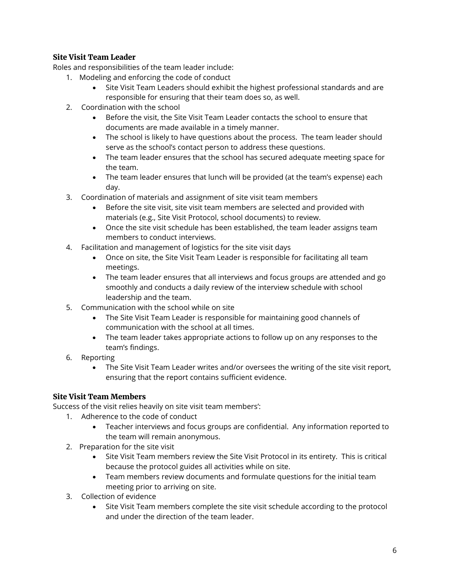#### Site Visit Team Leader

Roles and responsibilities of the team leader include:

- 1. Modeling and enforcing the code of conduct
	- Site Visit Team Leaders should exhibit the highest professional standards and are responsible for ensuring that their team does so, as well.
- 2. Coordination with the school
	- Before the visit, the Site Visit Team Leader contacts the school to ensure that documents are made available in a timely manner.
	- The school is likely to have questions about the process. The team leader should serve as the school's contact person to address these questions.
	- The team leader ensures that the school has secured adequate meeting space for the team.
	- The team leader ensures that lunch will be provided (at the team's expense) each day.
- 3. Coordination of materials and assignment of site visit team members
	- Before the site visit, site visit team members are selected and provided with materials (e.g., Site Visit Protocol, school documents) to review.
	- Once the site visit schedule has been established, the team leader assigns team members to conduct interviews.
- 4. Facilitation and management of logistics for the site visit days
	- Once on site, the Site Visit Team Leader is responsible for facilitating all team meetings.
	- The team leader ensures that all interviews and focus groups are attended and go smoothly and conducts a daily review of the interview schedule with school leadership and the team.
- 5. Communication with the school while on site
	- The Site Visit Team Leader is responsible for maintaining good channels of communication with the school at all times.
	- The team leader takes appropriate actions to follow up on any responses to the team's findings.
- 6. Reporting
	- The Site Visit Team Leader writes and/or oversees the writing of the site visit report, ensuring that the report contains sufficient evidence.

#### Site Visit Team Members

Success of the visit relies heavily on site visit team members':

- 1. Adherence to the code of conduct
	- Teacher interviews and focus groups are confidential. Any information reported to the team will remain anonymous.
- 2. Preparation for the site visit
	- Site Visit Team members review the Site Visit Protocol in its entirety. This is critical because the protocol guides all activities while on site.
	- Team members review documents and formulate questions for the initial team meeting prior to arriving on site.
- 3. Collection of evidence
	- Site Visit Team members complete the site visit schedule according to the protocol and under the direction of the team leader.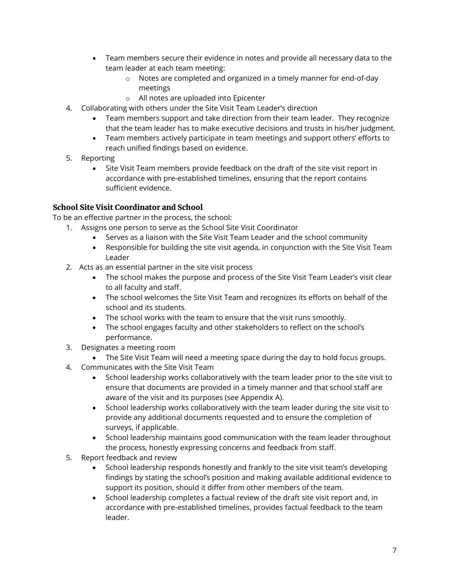- Team members secure their evidence in notes and provide all necessary data to the team leader at each team meeting:
	- o Notes are completed and organized in a timely manner for end-of-day meetings
	- o All notes are uploaded into Epicenter
- 4. Collaborating with others under the Site Visit Team Leader's direction
	- Team members support and take direction from their team leader. They recognize that the team leader has to make executive decisions and trusts in his/her judgment.
	- Team members actively participate in team meetings and support others' efforts to reach unified findings based on evidence.
- 5. Reporting
	- Site Visit Team members provide feedback on the draft of the site visit report in accordance with pre-established timelines, ensuring that the report contains sufficient evidence.

#### School Site Visit Coordinator and School

To be an effective partner in the process, the school:

- 1. Assigns one person to serve as the School Site Visit Coordinator
	- Serves as a liaison with the Site Visit Team Leader and the school community
	- Responsible for building the site visit agenda, in conjunction with the Site Visit Team Leader
- 2. Acts as an essential partner in the site visit process
	- The school makes the purpose and process of the Site Visit Team Leader's visit clear to all faculty and staff.
	- The school welcomes the Site Visit Team and recognizes its efforts on behalf of the school and its students.
	- The school works with the team to ensure that the visit runs smoothly.
	- The school engages faculty and other stakeholders to reflect on the school's performance.
- 3. Designates a meeting room
	- The Site Visit Team will need a meeting space during the day to hold focus groups.
- 4. Communicates with the Site Visit Team
	- School leadership works collaboratively with the team leader prior to the site visit to ensure that documents are provided in a timely manner and that school staff are aware of the visit and its purposes (see Appendix A).
	- School leadership works collaboratively with the team leader during the site visit to provide any additional documents requested and to ensure the completion of surveys, if applicable.
	- School leadership maintains good communication with the team leader throughout the process, honestly expressing concerns and feedback from staff.
- 5. Report feedback and review
	- School leadership responds honestly and frankly to the site visit team's developing findings by stating the school's position and making available additional evidence to support its position, should it differ from other members of the team.
	- School leadership completes a factual review of the draft site visit report and, in accordance with pre-established timelines, provides factual feedback to the team leader.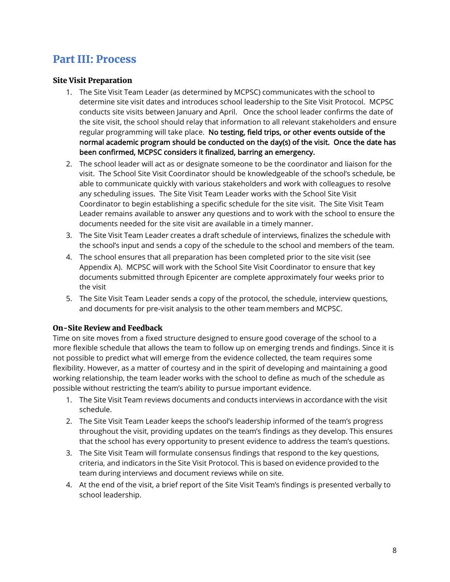## Part III: Process

#### Site Visit Preparation

- 1. The Site Visit Team Leader (as determined by MCPSC) communicates with the school to determine site visit dates and introduces school leadership to the Site Visit Protocol. MCPSC conducts site visits between January and April. Once the school leader confirms the date of the site visit, the school should relay that information to all relevant stakeholders and ensure regular programming will take place. No testing, field trips, or other events outside of the normal academic program should be conducted on the day(s) of the visit. Once the date has been confirmed, MCPSC considers it finalized, barring an emergency.
- 2. The school leader will act as or designate someone to be the coordinator and liaison for the visit. The School Site Visit Coordinator should be knowledgeable of the school's schedule, be able to communicate quickly with various stakeholders and work with colleagues to resolve any scheduling issues. The Site Visit Team Leader works with the School Site Visit Coordinator to begin establishing a specific schedule for the site visit. The Site Visit Team Leader remains available to answer any questions and to work with the school to ensure the documents needed for the site visit are available in a timely manner.
- 3. The Site Visit Team Leader creates a draft schedule of interviews, finalizes the schedule with the school's input and sends a copy of the schedule to the school and members of the team.
- 4. The school ensures that all preparation has been completed prior to the site visit (see Appendix A). MCPSC will work with the School Site Visit Coordinator to ensure that key documents submitted through Epicenter are complete approximately four weeks prior to the visit
- 5. The Site Visit Team Leader sends a copy of the protocol, the schedule, interview questions, and documents for pre-visit analysis to the other team members and MCPSC.

#### On-Site Review and Feedback

Time on site moves from a fixed structure designed to ensure good coverage of the school to a more flexible schedule that allows the team to follow up on emerging trends and findings. Since it is not possible to predict what will emerge from the evidence collected, the team requires some flexibility. However, as a matter of courtesy and in the spirit of developing and maintaining a good working relationship, the team leader works with the school to define as much of the schedule as possible without restricting the team's ability to pursue important evidence.

- 1. The Site Visit Team reviews documents and conducts interviews in accordance with the visit schedule.
- 2. The Site Visit Team Leader keeps the school's leadership informed of the team's progress throughout the visit, providing updates on the team's findings as they develop. This ensures that the school has every opportunity to present evidence to address the team's questions.
- 3. The Site Visit Team will formulate consensus findings that respond to the key questions, criteria, and indicators in the Site Visit Protocol. This is based on evidence provided to the team during interviews and document reviews while on site.
- 4. At the end of the visit, a brief report of the Site Visit Team's findings is presented verbally to school leadership.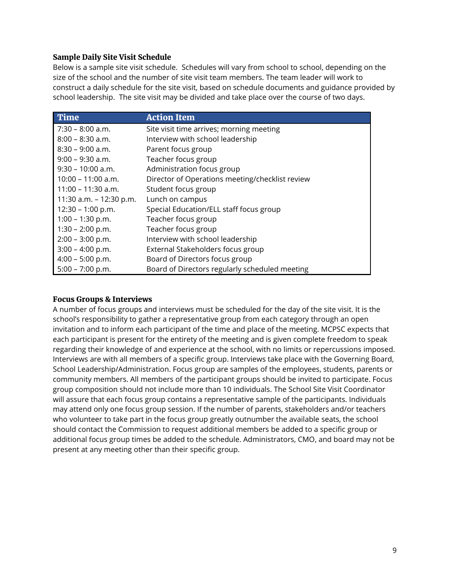#### Sample Daily Site Visit Schedule

Below is a sample site visit schedule. Schedules will vary from school to school, depending on the size of the school and the number of site visit team members. The team leader will work to construct a daily schedule for the site visit, based on schedule documents and guidance provided by school leadership. The site visit may be divided and take place over the course of two days.

| <b>Time</b>               | <b>Action Item</b>                              |
|---------------------------|-------------------------------------------------|
| $7:30 - 8:00$ a.m.        | Site visit time arrives; morning meeting        |
| $8:00 - 8:30$ a.m.        | Interview with school leadership                |
| $8:30 - 9:00$ a.m.        | Parent focus group                              |
| $9:00 - 9:30$ a.m.        | Teacher focus group                             |
| $9:30 - 10:00$ a.m.       | Administration focus group                      |
| 10:00 – 11:00 a.m.        | Director of Operations meeting/checklist review |
| 11:00 – 11:30 a.m.        | Student focus group                             |
| 11:30 a.m. $-$ 12:30 p.m. | Lunch on campus                                 |
| $12:30 - 1:00$ p.m.       | Special Education/ELL staff focus group         |
| $1:00 - 1:30$ p.m.        | Teacher focus group                             |
| $1:30 - 2:00$ p.m.        | Teacher focus group                             |
| $2:00 - 3:00$ p.m.        | Interview with school leadership                |
| $3:00 - 4:00$ p.m.        | External Stakeholders focus group               |
| $4:00 - 5:00$ p.m.        | Board of Directors focus group                  |
| $5:00 - 7:00 p.m.$        | Board of Directors regularly scheduled meeting  |

#### Focus Groups & Interviews

A number of focus groups and interviews must be scheduled for the day of the site visit. It is the school's responsibility to gather a representative group from each category through an open invitation and to inform each participant of the time and place of the meeting. MCPSC expects that each participant is present for the entirety of the meeting and is given complete freedom to speak regarding their knowledge of and experience at the school, with no limits or repercussions imposed. Interviews are with all members of a specific group. Interviews take place with the Governing Board, School Leadership/Administration. Focus group are samples of the employees, students, parents or community members. All members of the participant groups should be invited to participate. Focus group composition should not include more than 10 individuals. The School Site Visit Coordinator will assure that each focus group contains a representative sample of the participants. Individuals may attend only one focus group session. If the number of parents, stakeholders and/or teachers who volunteer to take part in the focus group greatly outnumber the available seats, the school should contact the Commission to request additional members be added to a specific group or additional focus group times be added to the schedule. Administrators, CMO, and board may not be present at any meeting other than their specific group.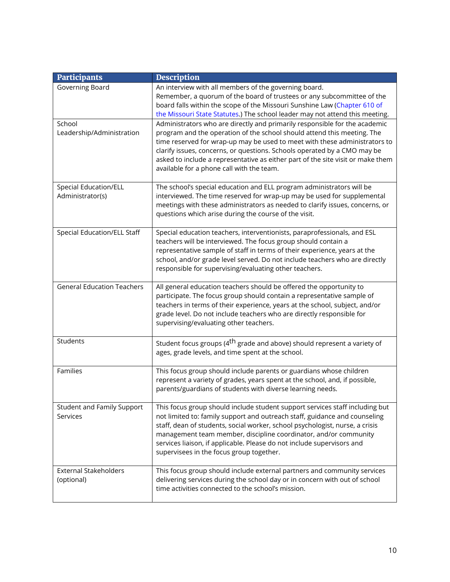| <b>Participants</b>                              | <b>Description</b>                                                                                                                                                                                                                                                                                                                                                                                                                              |
|--------------------------------------------------|-------------------------------------------------------------------------------------------------------------------------------------------------------------------------------------------------------------------------------------------------------------------------------------------------------------------------------------------------------------------------------------------------------------------------------------------------|
| Governing Board                                  | An interview with all members of the governing board.<br>Remember, a quorum of the board of trustees or any subcommittee of the<br>board falls within the scope of the Missouri Sunshine Law (Chapter 610 of<br>the Missouri State Statutes.) The school leader may not attend this meeting.                                                                                                                                                    |
| School<br>Leadership/Administration              | Administrators who are directly and primarily responsible for the academic<br>program and the operation of the school should attend this meeting. The<br>time reserved for wrap-up may be used to meet with these administrators to<br>clarify issues, concerns, or questions. Schools operated by a CMO may be<br>asked to include a representative as either part of the site visit or make them<br>available for a phone call with the team. |
| <b>Special Education/ELL</b><br>Administrator(s) | The school's special education and ELL program administrators will be<br>interviewed. The time reserved for wrap-up may be used for supplemental<br>meetings with these administrators as needed to clarify issues, concerns, or<br>questions which arise during the course of the visit.                                                                                                                                                       |
| <b>Special Education/ELL Staff</b>               | Special education teachers, interventionists, paraprofessionals, and ESL<br>teachers will be interviewed. The focus group should contain a<br>representative sample of staff in terms of their experience, years at the<br>school, and/or grade level served. Do not include teachers who are directly<br>responsible for supervising/evaluating other teachers.                                                                                |
| <b>General Education Teachers</b>                | All general education teachers should be offered the opportunity to<br>participate. The focus group should contain a representative sample of<br>teachers in terms of their experience, years at the school, subject, and/or<br>grade level. Do not include teachers who are directly responsible for<br>supervising/evaluating other teachers.                                                                                                 |
| Students                                         | Student focus groups (4 <sup>th</sup> grade and above) should represent a variety of<br>ages, grade levels, and time spent at the school.                                                                                                                                                                                                                                                                                                       |
| Families                                         | This focus group should include parents or guardians whose children<br>represent a variety of grades, years spent at the school, and, if possible,<br>parents/guardians of students with diverse learning needs.                                                                                                                                                                                                                                |
| Student and Family Support<br>Services           | This focus group should include student support services staff including but<br>not limited to: family support and outreach staff, guidance and counseling<br>staff, dean of students, social worker, school psychologist, nurse, a crisis<br>management team member, discipline coordinator, and/or community<br>services liaison, if applicable. Please do not include supervisors and<br>supervisees in the focus group together.            |
| <b>External Stakeholders</b><br>(optional)       | This focus group should include external partners and community services<br>delivering services during the school day or in concern with out of school<br>time activities connected to the school's mission.                                                                                                                                                                                                                                    |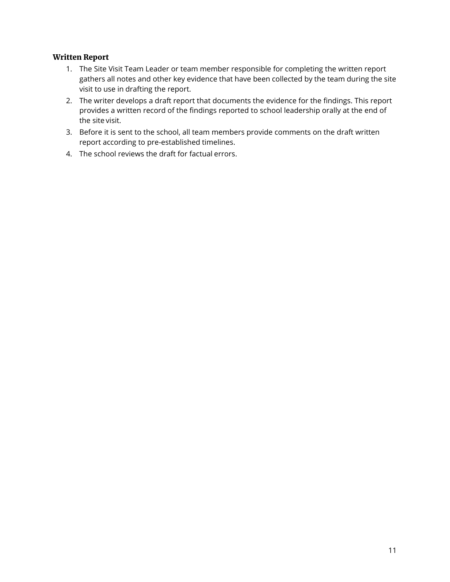#### Written Report

- 1. The Site Visit Team Leader or team member responsible for completing the written report gathers all notes and other key evidence that have been collected by the team during the site visit to use in drafting the report.
- 2. The writer develops a draft report that documents the evidence for the findings. This report provides a written record of the findings reported to school leadership orally at the end of the site visit.
- 3. Before it is sent to the school, all team members provide comments on the draft written report according to pre-established timelines.
- 4. The school reviews the draft for factual errors.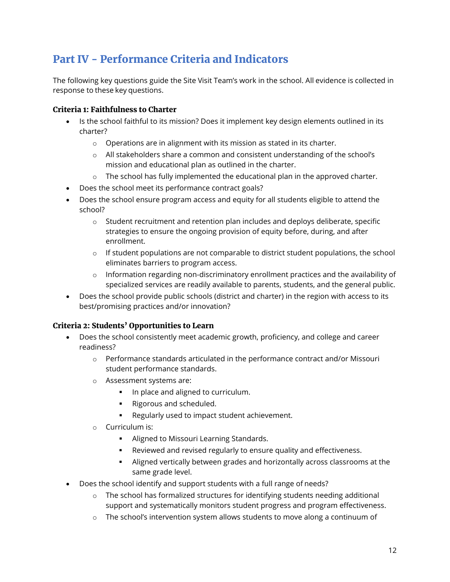## Part IV - Performance Criteria and Indicators

The following key questions guide the Site Visit Team's work in the school. All evidence is collected in response to these key questions.

#### Criteria 1: Faithfulness to Charter

- Is the school faithful to its mission? Does it implement key design elements outlined in its charter?
	- o Operations are in alignment with its mission as stated in its charter.
	- o All stakeholders share a common and consistent understanding of the school's mission and educational plan as outlined in the charter.
	- $\circ$  The school has fully implemented the educational plan in the approved charter.
- Does the school meet its performance contract goals?
- Does the school ensure program access and equity for all students eligible to attend the school?
	- o Student recruitment and retention plan includes and deploys deliberate, specific strategies to ensure the ongoing provision of equity before, during, and after enrollment.
	- $\circ$  If student populations are not comparable to district student populations, the school eliminates barriers to program access.
	- o Information regarding non-discriminatory enrollment practices and the availability of specialized services are readily available to parents, students, and the general public.
- Does the school provide public schools (district and charter) in the region with access to its best/promising practices and/or innovation?

#### Criteria 2: Students' Opportunities to Learn

- Does the school consistently meet academic growth, proficiency, and college and career readiness?
	- o Performance standards articulated in the performance contract and/or Missouri student performance standards.
	- o Assessment systems are:
		- In place and aligned to curriculum.
		- **Rigorous and scheduled.**
		- Regularly used to impact student achievement.
	- o Curriculum is:
		- **Aligned to Missouri Learning Standards.**
		- Reviewed and revised regularly to ensure quality and effectiveness.
		- Aligned vertically between grades and horizontally across classrooms at the same grade level.
- Does the school identify and support students with a full range of needs?
	- $\circ$  The school has formalized structures for identifying students needing additional support and systematically monitors student progress and program effectiveness.
	- o The school's intervention system allows students to move along a continuum of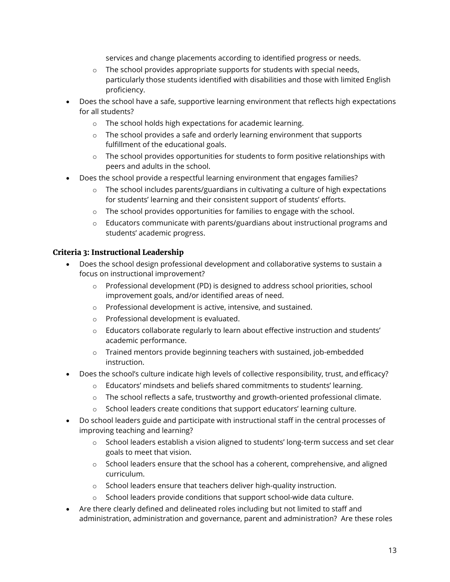services and change placements according to identified progress or needs.

- $\circ$  The school provides appropriate supports for students with special needs, particularly those students identified with disabilities and those with limited English proficiency.
- Does the school have a safe, supportive learning environment that reflects high expectations for all students?
	- o The school holds high expectations for academic learning.
	- $\circ$  The school provides a safe and orderly learning environment that supports fulfillment of the educational goals.
	- $\circ$  The school provides opportunities for students to form positive relationships with peers and adults in the school.
- Does the school provide a respectful learning environment that engages families?
	- $\circ$  The school includes parents/guardians in cultivating a culture of high expectations for students' learning and their consistent support of students' efforts.
	- $\circ$  The school provides opportunities for families to engage with the school.
	- $\circ$  Educators communicate with parents/guardians about instructional programs and students' academic progress.

#### Criteria 3: Instructional Leadership

- Does the school design professional development and collaborative systems to sustain a focus on instructional improvement?
	- o Professional development (PD) is designed to address school priorities, school improvement goals, and/or identified areas of need.
	- o Professional development is active, intensive, and sustained.
	- o Professional development is evaluated.
	- o Educators collaborate regularly to learn about effective instruction and students' academic performance.
	- $\circ$  Trained mentors provide beginning teachers with sustained, job-embedded instruction.
- Does the school's culture indicate high levels of collective responsibility, trust, and efficacy?
	- $\circ$  Educators' mindsets and beliefs shared commitments to students' learning.
	- $\circ$  The school reflects a safe, trustworthy and growth-oriented professional climate.
	- o School leaders create conditions that support educators' learning culture.
- Do school leaders guide and participate with instructional staff in the central processes of improving teaching and learning?
	- $\circ$  School leaders establish a vision aligned to students' long-term success and set clear goals to meet that vision.
	- $\circ$  School leaders ensure that the school has a coherent, comprehensive, and aligned curriculum.
	- o School leaders ensure that teachers deliver high-quality instruction.
	- o School leaders provide conditions that support school-wide data culture.
- Are there clearly defined and delineated roles including but not limited to staff and administration, administration and governance, parent and administration? Are these roles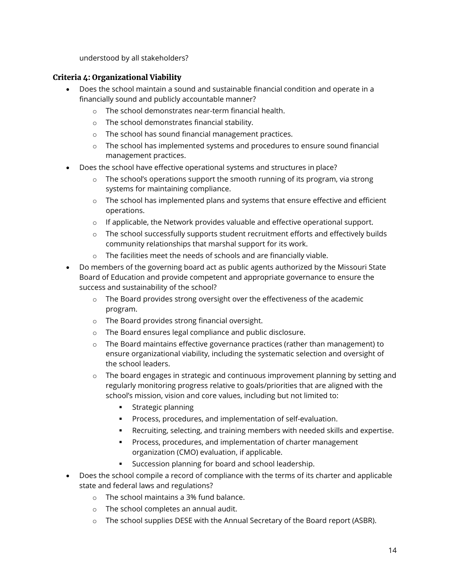understood by all stakeholders?

#### Criteria 4: Organizational Viability

- Does the school maintain a sound and sustainable financial condition and operate in a financially sound and publicly accountable manner?
	- o The school demonstrates near-term financial health.
	- o The school demonstrates financial stability.
	- o The school has sound financial management practices.
	- o The school has implemented systems and procedures to ensure sound financial management practices.
- Does the school have effective operational systems and structures in place?
	- $\circ$  The school's operations support the smooth running of its program, via strong systems for maintaining compliance.
	- $\circ$  The school has implemented plans and systems that ensure effective and efficient operations.
	- o If applicable, the Network provides valuable and effective operational support.
	- $\circ$  The school successfully supports student recruitment efforts and effectively builds community relationships that marshal support for its work.
	- o The facilities meet the needs of schools and are financially viable.
- Do members of the governing board act as public agents authorized by the Missouri State Board of Education and provide competent and appropriate governance to ensure the success and sustainability of the school?
	- o The Board provides strong oversight over the effectiveness of the academic program.
	- o The Board provides strong financial oversight.
	- o The Board ensures legal compliance and public disclosure.
	- $\circ$  The Board maintains effective governance practices (rather than management) to ensure organizational viability, including the systematic selection and oversight of the school leaders.
	- o The board engages in strategic and continuous improvement planning by setting and regularly monitoring progress relative to goals/priorities that are aligned with the school's mission, vision and core values, including but not limited to:
		- **Strategic planning**
		- **Process, procedures, and implementation of self-evaluation.**
		- Recruiting, selecting, and training members with needed skills and expertise.
		- **Process, procedures, and implementation of charter management** organization (CMO) evaluation, if applicable.
		- Succession planning for board and school leadership.
- Does the school compile a record of compliance with the terms of its charter and applicable state and federal laws and regulations?
	- o The school maintains a 3% fund balance.
	- o The school completes an annual audit.
	- $\circ$  The school supplies DESE with the Annual Secretary of the Board report (ASBR).